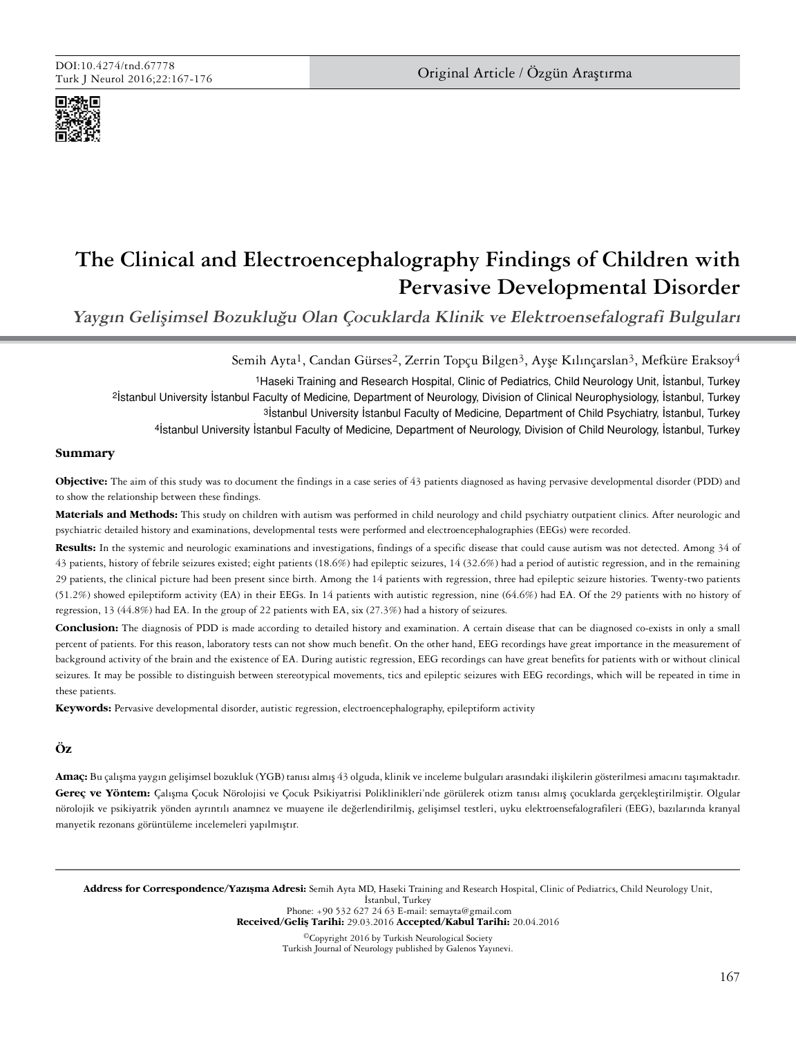

# **The Clinical and Electroencephalography Findings of Children with Pervasive Developmental Disorder**

**Yaygın Gelişimsel Bozukluğu Olan Çocuklarda Klinik ve Elektroensefalografi Bulguları**

Semih Ayta<sup>1</sup>, Candan Gürses<sup>2</sup>, Zerrin Topçu Bilgen<sup>3</sup>, Ayşe Kılınçarslan<sup>3</sup>, Mefküre Eraksoy<sup>4</sup> 1Haseki Training and Research Hospital, Clinic of Pediatrics, Child Neurology Unit, İstanbul, Turkey 2İstanbul University İstanbul Faculty of Medicine, Department of Neurology, Division of Clinical Neurophysiology, İstanbul, Turkey 3İstanbul University İstanbul Faculty of Medicine, Department of Child Psychiatry, İstanbul, Turkey 4İstanbul University İstanbul Faculty of Medicine, Department of Neurology, Division of Child Neurology, İstanbul, Turkey

## **Summary**

**Objective:** The aim of this study was to document the findings in a case series of 43 patients diagnosed as having pervasive developmental disorder (PDD) and to show the relationship between these findings.

**Materials and Methods:** This study on children with autism was performed in child neurology and child psychiatry outpatient clinics. After neurologic and psychiatric detailed history and examinations, developmental tests were performed and electroencephalographies (EEGs) were recorded.

**Results:** In the systemic and neurologic examinations and investigations, findings of a specific disease that could cause autism was not detected. Among 34 of 43 patients, history of febrile seizures existed; eight patients (18.6%) had epileptic seizures, 14 (32.6%) had a period of autistic regression, and in the remaining 29 patients, the clinical picture had been present since birth. Among the 14 patients with regression, three had epileptic seizure histories. Twenty-two patients (51.2%) showed epileptiform activity (EA) in their EEGs. In 14 patients with autistic regression, nine (64.6%) had EA. Of the 29 patients with no history of regression, 13 (44.8%) had EA. In the group of 22 patients with EA, six (27.3%) had a history of seizures.

**Conclusion:** The diagnosis of PDD is made according to detailed history and examination. A certain disease that can be diagnosed co-exists in only a small percent of patients. For this reason, laboratory tests can not show much benefit. On the other hand, EEG recordings have great importance in the measurement of background activity of the brain and the existence of EA. During autistic regression, EEG recordings can have great benefits for patients with or without clinical seizures. It may be possible to distinguish between stereotypical movements, tics and epileptic seizures with EEG recordings, which will be repeated in time in these patients.

**Keywords:** Pervasive developmental disorder, autistic regression, electroencephalography, epileptiform activity

# **Öz**

**Amaç:** Bu çalışma yaygın gelişimsel bozukluk (YGB) tanısı almış 43 olguda, klinik ve inceleme bulguları arasındaki ilişkilerin gösterilmesi amacını taşımaktadır. **Gereç ve Yöntem:** Çalışma Çocuk Nörolojisi ve Çocuk Psikiyatrisi Poliklinikleri'nde görülerek otizm tanısı almış çocuklarda gerçekleştirilmiştir. Olgular nörolojik ve psikiyatrik yönden ayrıntılı anamnez ve muayene ile değerlendirilmiş, gelişimsel testleri, uyku elektroensefalografileri (EEG), bazılarında kranyal manyetik rezonans görüntüleme incelemeleri yapılmıştır.

Address for Correspondence/Yazışma Adresi: Semih Ayta MD, Haseki Training and Research Hospital, Clinic of Pediatrics, Child Neurology Unit, İstanbul, Turkey Phone: +90 532 627 24 63 E-mail: semayta@gmail.com Received/Geliş Tarihi: 29.03.2016 Accepted/Kabul Tarihi: 20.04.2016

©Copyright 2016 by Turkish Neurological Society Turkish Journal of Neurology published by Galenos Yayınevi.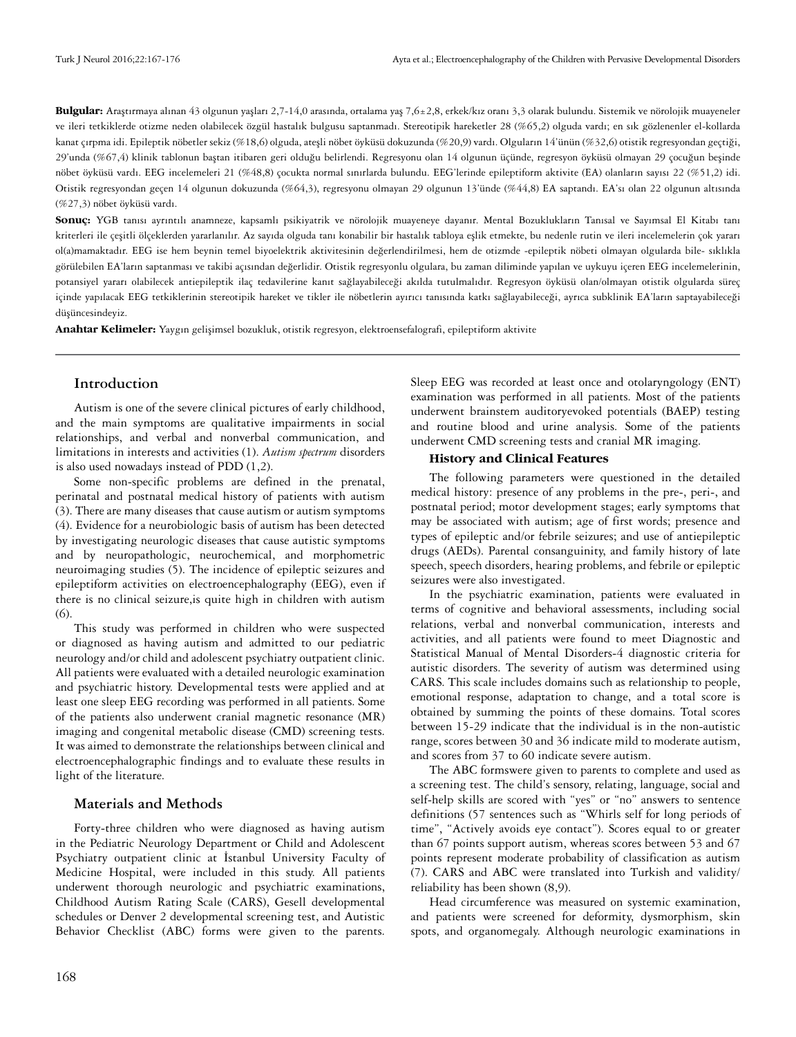**Bulgular:** Araştırmaya alınan 43 olgunun yaşları 2,7-14,0 arasında, ortalama yaş 7,6±2,8, erkek/kız oranı 3,3 olarak bulundu. Sistemik ve nörolojik muayeneler ve ileri tetkiklerde otizme neden olabilecek özgül hastalık bulgusu saptanmadı. Stereotipik hareketler 28 (%65,2) olguda vardı; en sık gözlenenler el-kollarda kanat çırpma idi. Epileptik nöbetler sekiz (%18,6) olguda, ateşli nöbet öyküsü dokuzunda (%20,9) vardı. Olguların 14'ünün (%32,6) otistik regresyondan geçtiği, 29'unda (%67,4) klinik tablonun baştan itibaren geri olduğu belirlendi. Regresyonu olan 14 olgunun üçünde, regresyon öyküsü olmayan 29 çocuğun beşinde nöbet öyküsü vardı. EEG incelemeleri 21 (%48,8) çocukta normal sınırlarda bulundu. EEG'lerinde epileptiform aktivite (EA) olanların sayısı 22 (%51,2) idi. Otistik regresyondan geçen 14 olgunun dokuzunda (%64,3), regresyonu olmayan 29 olgunun 13'ünde (%44,8) EA saptandı. EA'sı olan 22 olgunun altısında (%27,3) nöbet öyküsü vardı.

**Sonuç:** YGB tanısı ayrıntılı anamneze, kapsamlı psikiyatrik ve nörolojik muayeneye dayanır. Mental Bozuklukların Tanısal ve Sayımsal El Kitabı tanı kriterleri ile çeşitli ölçeklerden yararlanılır. Az sayıda olguda tanı konabilir bir hastalık tabloya eşlik etmekte, bu nedenle rutin ve ileri incelemelerin çok yararı ol(a)mamaktadır. EEG ise hem beynin temel biyoelektrik aktivitesinin değerlendirilmesi, hem de otizmde -epileptik nöbeti olmayan olgularda bile- sıklıkla görülebilen EA'ların saptanması ve takibi açısından değerlidir. Otistik regresyonlu olgulara, bu zaman diliminde yapılan ve uykuyu içeren EEG incelemelerinin, potansiyel yararı olabilecek antiepileptik ilaç tedavilerine kanıt sağlayabileceği akılda tutulmalıdır. Regresyon öyküsü olan/olmayan otistik olgularda süreç içinde yapılacak EEG tetkiklerinin stereotipik hareket ve tikler ile nöbetlerin ayırıcı tanısında katkı sağlayabileceği, ayrıca subklinik EA'ların saptayabileceği düşüncesindeyiz.

**Anahtar Kelimeler:** Yaygın gelişimsel bozukluk, otistik regresyon, elektroensefalografi, epileptiform aktivite

# **Introduction**

Autism is one of the severe clinical pictures of early childhood, and the main symptoms are qualitative impairments in social relationships, and verbal and nonverbal communication, and limitations in interests and activities (1). *Autism spectrum* disorders is also used nowadays instead of PDD (1,2).

Some non-specific problems are defined in the prenatal, perinatal and postnatal medical history of patients with autism (3). There are many diseases that cause autism or autism symptoms (4). Evidence for a neurobiologic basis of autism has been detected by investigating neurologic diseases that cause autistic symptoms and by neuropathologic, neurochemical, and morphometric neuroimaging studies (5). The incidence of epileptic seizures and epileptiform activities on electroencephalography (EEG), even if there is no clinical seizure,is quite high in children with autism (6).

This study was performed in children who were suspected or diagnosed as having autism and admitted to our pediatric neurology and/or child and adolescent psychiatry outpatient clinic. All patients were evaluated with a detailed neurologic examination and psychiatric history. Developmental tests were applied and at least one sleep EEG recording was performed in all patients. Some of the patients also underwent cranial magnetic resonance (MR) imaging and congenital metabolic disease (CMD) screening tests. It was aimed to demonstrate the relationships between clinical and electroencephalographic findings and to evaluate these results in light of the literature.

## **Materials and Methods**

Forty-three children who were diagnosed as having autism in the Pediatric Neurology Department or Child and Adolescent Psychiatry outpatient clinic at İstanbul University Faculty of Medicine Hospital, were included in this study. All patients underwent thorough neurologic and psychiatric examinations, Childhood Autism Rating Scale (CARS), Gesell developmental schedules or Denver 2 developmental screening test, and Autistic Behavior Checklist (ABC) forms were given to the parents.

Sleep EEG was recorded at least once and otolaryngology (ENT) examination was performed in all patients. Most of the patients underwent brainstem auditoryevoked potentials (BAEP) testing and routine blood and urine analysis. Some of the patients underwent CMD screening tests and cranial MR imaging.

## **History and Clinical Features**

The following parameters were questioned in the detailed medical history: presence of any problems in the pre-, peri-, and postnatal period; motor development stages; early symptoms that may be associated with autism; age of first words; presence and types of epileptic and/or febrile seizures; and use of antiepileptic drugs (AEDs). Parental consanguinity, and family history of late speech, speech disorders, hearing problems, and febrile or epileptic seizures were also investigated.

In the psychiatric examination, patients were evaluated in terms of cognitive and behavioral assessments, including social relations, verbal and nonverbal communication, interests and activities, and all patients were found to meet Diagnostic and Statistical Manual of Mental Disorders-4 diagnostic criteria for autistic disorders. The severity of autism was determined using CARS. This scale includes domains such as relationship to people, emotional response, adaptation to change, and a total score is obtained by summing the points of these domains. Total scores between 15-29 indicate that the individual is in the non-autistic range, scores between 30 and 36 indicate mild to moderate autism, and scores from 37 to 60 indicate severe autism.

The ABC formswere given to parents to complete and used as a screening test. The child's sensory, relating, language, social and self-help skills are scored with "yes" or "no" answers to sentence definitions (57 sentences such as "Whirls self for long periods of time", "Actively avoids eye contact"). Scores equal to or greater than 67 points support autism, whereas scores between 53 and 67 points represent moderate probability of classification as autism (7). CARS and ABC were translated into Turkish and validity/ reliability has been shown (8,9).

Head circumference was measured on systemic examination, and patients were screened for deformity, dysmorphism, skin spots, and organomegaly. Although neurologic examinations in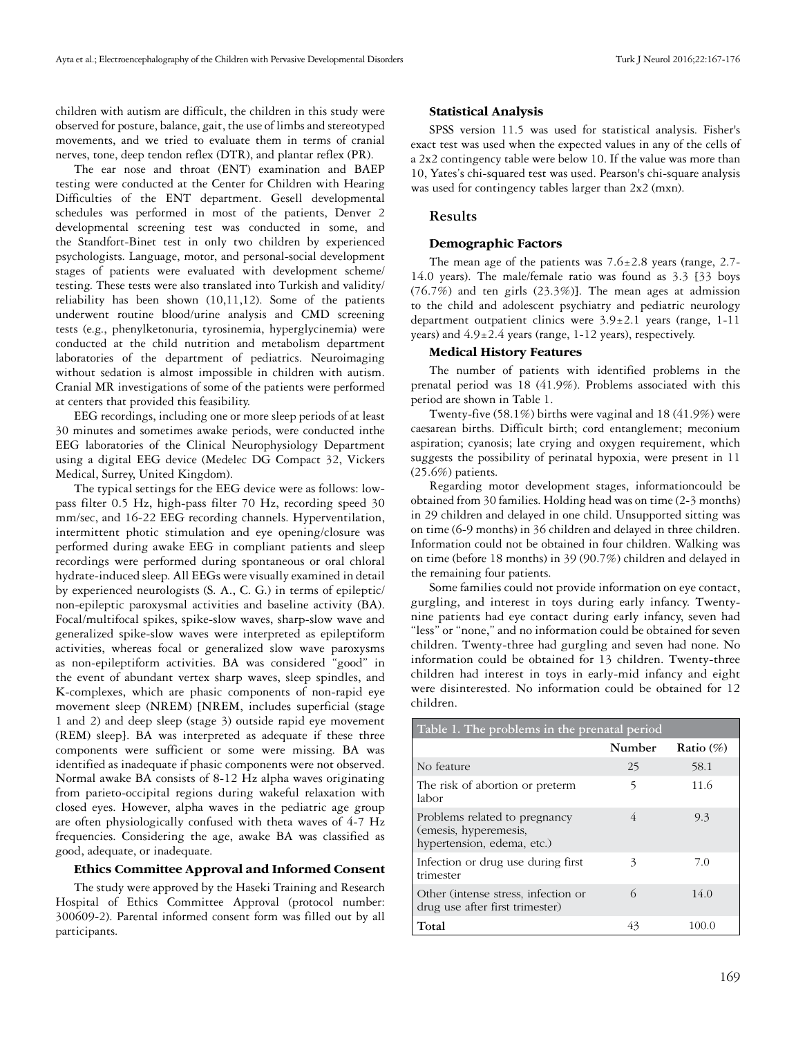children with autism are difficult, the children in this study were observed for posture, balance, gait, the use of limbs and stereotyped movements, and we tried to evaluate them in terms of cranial nerves, tone, deep tendon reflex (DTR), and plantar reflex (PR).

The ear nose and throat (ENT) examination and BAEP testing were conducted at the Center for Children with Hearing Difficulties of the ENT department. Gesell developmental schedules was performed in most of the patients, Denver 2 developmental screening test was conducted in some, and the Standfort-Binet test in only two children by experienced psychologists. Language, motor, and personal-social development stages of patients were evaluated with development scheme/ testing. These tests were also translated into Turkish and validity/ reliability has been shown (10,11,12). Some of the patients underwent routine blood/urine analysis and CMD screening tests (e.g., phenylketonuria, tyrosinemia, hyperglycinemia) were conducted at the child nutrition and metabolism department laboratories of the department of pediatrics. Neuroimaging without sedation is almost impossible in children with autism. Cranial MR investigations of some of the patients were performed at centers that provided this feasibility.

EEG recordings, including one or more sleep periods of at least 30 minutes and sometimes awake periods, were conducted inthe EEG laboratories of the Clinical Neurophysiology Department using a digital EEG device (Medelec DG Compact 32, Vickers Medical, Surrey, United Kingdom).

The typical settings for the EEG device were as follows: lowpass filter 0.5 Hz, high-pass filter 70 Hz, recording speed 30 mm/sec, and 16-22 EEG recording channels. Hyperventilation, intermittent photic stimulation and eye opening/closure was performed during awake EEG in compliant patients and sleep recordings were performed during spontaneous or oral chloral hydrate-induced sleep. All EEGs were visually examined in detail by experienced neurologists (S. A., C. G.) in terms of epileptic/ non-epileptic paroxysmal activities and baseline activity (BA). Focal/multifocal spikes, spike-slow waves, sharp-slow wave and generalized spike-slow waves were interpreted as epileptiform activities, whereas focal or generalized slow wave paroxysms as non-epileptiform activities. BA was considered "good" in the event of abundant vertex sharp waves, sleep spindles, and K-complexes, which are phasic components of non-rapid eye movement sleep (NREM) [NREM, includes superficial (stage 1 and 2) and deep sleep (stage 3) outside rapid eye movement (REM) sleep]. BA was interpreted as adequate if these three components were sufficient or some were missing. BA was identified as inadequate if phasic components were not observed. Normal awake BA consists of 8-12 Hz alpha waves originating from parieto-occipital regions during wakeful relaxation with closed eyes. However, alpha waves in the pediatric age group are often physiologically confused with theta waves of 4-7 Hz frequencies. Considering the age, awake BA was classified as good, adequate, or inadequate.

#### **Ethics Committee Approval and Informed Consent**

The study were approved by the Haseki Training and Research Hospital of Ethics Committee Approval (protocol number: 300609-2). Parental informed consent form was filled out by all participants.

#### **Statistical Analysis**

SPSS version 11.5 was used for statistical analysis. Fisher's exact test was used when the expected values in any of the cells of a 2x2 contingency table were below 10. If the value was more than 10, Yates's chi-squared test was used. Pearson's chi-square analysis was used for contingency tables larger than 2x2 (mxn).

#### **Results**

#### **Demographic Factors**

The mean age of the patients was  $7.6 \pm 2.8$  years (range, 2.7-14.0 years). The male/female ratio was found as 3.3 [33 boys (76.7%) and ten girls (23.3%)]. The mean ages at admission to the child and adolescent psychiatry and pediatric neurology department outpatient clinics were  $3.9 \pm 2.1$  years (range, 1-11 years) and  $4.9 \pm 2.4$  years (range, 1-12 years), respectively.

## **Medical History Features**

The number of patients with identified problems in the prenatal period was 18 (41.9%). Problems associated with this period are shown in Table 1.

Twenty-five (58.1%) births were vaginal and 18 (41.9%) were caesarean births. Difficult birth; cord entanglement; meconium aspiration; cyanosis; late crying and oxygen requirement, which suggests the possibility of perinatal hypoxia, were present in 11 (25.6%) patients.

Regarding motor development stages, informationcould be obtained from 30 families. Holding head was on time (2-3 months) in 29 children and delayed in one child. Unsupported sitting was on time (6-9 months) in 36 children and delayed in three children. Information could not be obtained in four children. Walking was on time (before 18 months) in 39 (90.7%) children and delayed in the remaining four patients.

Some families could not provide information on eye contact, gurgling, and interest in toys during early infancy. Twentynine patients had eye contact during early infancy, seven had "less" or "none," and no information could be obtained for seven children. Twenty-three had gurgling and seven had none. No information could be obtained for 13 children. Twenty-three children had interest in toys in early-mid infancy and eight were disinterested. No information could be obtained for 12 children.

| Table 1. The problems in the prenatal period                                         |        |              |  |  |
|--------------------------------------------------------------------------------------|--------|--------------|--|--|
|                                                                                      | Number | Ratio $(\%)$ |  |  |
| No feature                                                                           | 25     | 58.1         |  |  |
| The risk of abortion or preterm<br>labor                                             | 5      | 11.6         |  |  |
| Problems related to pregnancy<br>(emesis, hyperemesis,<br>hypertension, edema, etc.) | 4      | 9.3          |  |  |
| Infection or drug use during first<br>trimester                                      | 3      | 7.0          |  |  |
| Other (intense stress, infection or<br>drug use after first trimester)               | 6      | 14.0         |  |  |
| Total                                                                                | 43     | 100.0        |  |  |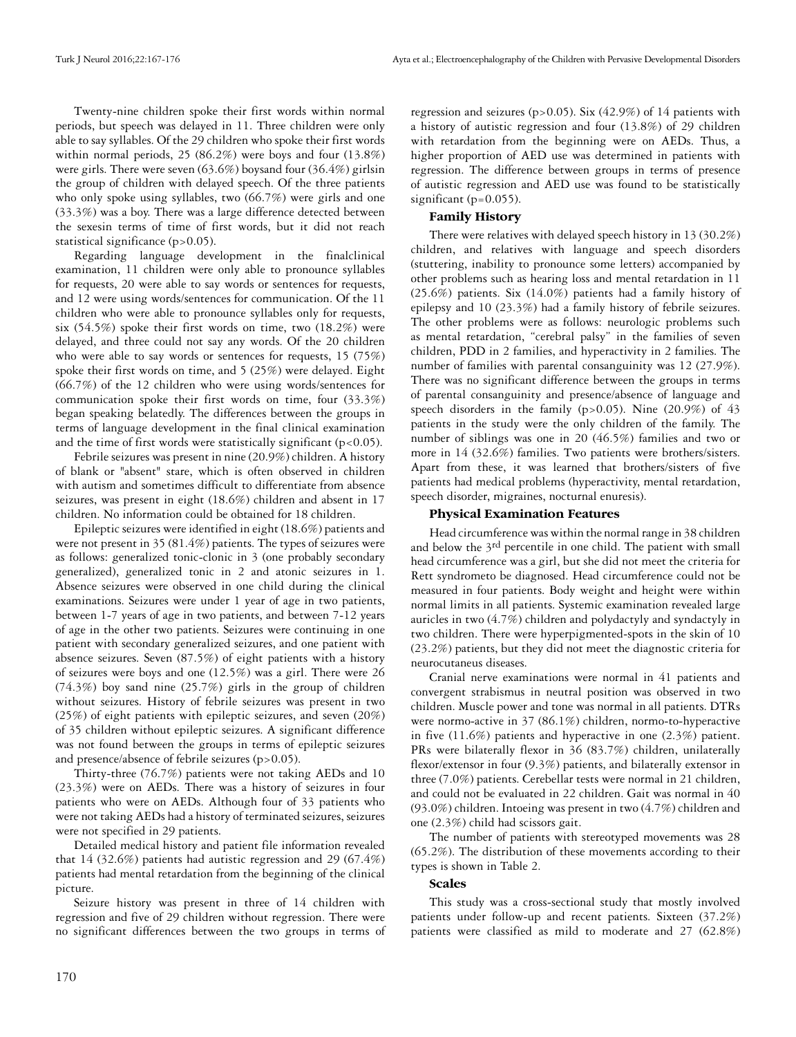Twenty-nine children spoke their first words within normal periods, but speech was delayed in 11. Three children were only able to say syllables. Of the 29 children who spoke their first words within normal periods, 25 (86.2%) were boys and four (13.8%) were girls. There were seven (63.6%) boysand four (36.4%) girlsin the group of children with delayed speech. Of the three patients who only spoke using syllables, two (66.7%) were girls and one (33.3%) was a boy. There was a large difference detected between the sexesin terms of time of first words, but it did not reach statistical significance (p>0.05).

Regarding language development in the finalclinical examination, 11 children were only able to pronounce syllables for requests, 20 were able to say words or sentences for requests, and 12 were using words/sentences for communication. Of the 11 children who were able to pronounce syllables only for requests, six (54.5%) spoke their first words on time, two (18.2%) were delayed, and three could not say any words. Of the 20 children who were able to say words or sentences for requests, 15 (75%) spoke their first words on time, and 5 (25%) were delayed. Eight (66.7%) of the 12 children who were using words/sentences for communication spoke their first words on time, four (33.3%) began speaking belatedly. The differences between the groups in terms of language development in the final clinical examination and the time of first words were statistically significant ( $p < 0.05$ ).

Febrile seizures was present in nine (20.9%) children. A history of blank or "absent" stare, which is often observed in children with autism and sometimes difficult to differentiate from absence seizures, was present in eight (18.6%) children and absent in 17 children. No information could be obtained for 18 children.

Epileptic seizures were identified in eight (18.6%) patients and were not present in 35 (81.4%) patients. The types of seizures were as follows: generalized tonic-clonic in 3 (one probably secondary generalized), generalized tonic in 2 and atonic seizures in 1. Absence seizures were observed in one child during the clinical examinations. Seizures were under 1 year of age in two patients, between 1-7 years of age in two patients, and between 7-12 years of age in the other two patients. Seizures were continuing in one patient with secondary generalized seizures, and one patient with absence seizures. Seven (87.5%) of eight patients with a history of seizures were boys and one (12.5%) was a girl. There were 26 (74.3%) boy sand nine (25.7%) girls in the group of children without seizures. History of febrile seizures was present in two (25%) of eight patients with epileptic seizures, and seven (20%) of 35 children without epileptic seizures. A significant difference was not found between the groups in terms of epileptic seizures and presence/absence of febrile seizures (p>0.05).

Thirty-three (76.7%) patients were not taking AEDs and 10 (23.3%) were on AEDs. There was a history of seizures in four patients who were on AEDs. Although four of 33 patients who were not taking AEDs had a history of terminated seizures, seizures were not specified in 29 patients.

Detailed medical history and patient file information revealed that 14 (32.6%) patients had autistic regression and 29 (67.4%) patients had mental retardation from the beginning of the clinical picture.

Seizure history was present in three of 14 children with regression and five of 29 children without regression. There were no significant differences between the two groups in terms of regression and seizures (p>0.05). Six  $(42.9%)$  of 14 patients with a history of autistic regression and four (13.8%) of 29 children with retardation from the beginning were on AEDs. Thus, a higher proportion of AED use was determined in patients with regression. The difference between groups in terms of presence of autistic regression and AED use was found to be statistically significant (p=0.055).

## **Family History**

There were relatives with delayed speech history in 13 (30.2%) children, and relatives with language and speech disorders (stuttering, inability to pronounce some letters) accompanied by other problems such as hearing loss and mental retardation in 11 (25.6%) patients. Six (14.0%) patients had a family history of epilepsy and 10 (23.3%) had a family history of febrile seizures. The other problems were as follows: neurologic problems such as mental retardation, "cerebral palsy" in the families of seven children, PDD in 2 families, and hyperactivity in 2 families. The number of families with parental consanguinity was 12 (27.9%). There was no significant difference between the groups in terms of parental consanguinity and presence/absence of language and speech disorders in the family (p>0.05). Nine (20.9%) of 43 patients in the study were the only children of the family. The number of siblings was one in 20 (46.5%) families and two or more in 14 (32.6%) families. Two patients were brothers/sisters. Apart from these, it was learned that brothers/sisters of five patients had medical problems (hyperactivity, mental retardation, speech disorder, migraines, nocturnal enuresis).

## **Physical Examination Features**

Head circumference was within the normal range in 38 children and below the 3<sup>rd</sup> percentile in one child. The patient with small head circumference was a girl, but she did not meet the criteria for Rett syndrometo be diagnosed. Head circumference could not be measured in four patients. Body weight and height were within normal limits in all patients. Systemic examination revealed large auricles in two (4.7%) children and polydactyly and syndactyly in two children. There were hyperpigmented-spots in the skin of 10 (23.2%) patients, but they did not meet the diagnostic criteria for neurocutaneus diseases.

Cranial nerve examinations were normal in 41 patients and convergent strabismus in neutral position was observed in two children. Muscle power and tone was normal in all patients. DTRs were normo-active in 37 (86.1%) children, normo-to-hyperactive in five (11.6%) patients and hyperactive in one (2.3%) patient. PRs were bilaterally flexor in 36 (83.7%) children, unilaterally flexor/extensor in four (9.3%) patients, and bilaterally extensor in three (7.0%) patients. Cerebellar tests were normal in 21 children, and could not be evaluated in 22 children. Gait was normal in 40 (93.0%) children. Intoeing was present in two (4.7%) children and one (2.3%) child had scissors gait.

The number of patients with stereotyped movements was 28 (65.2%). The distribution of these movements according to their types is shown in Table 2.

## **Scales**

This study was a cross-sectional study that mostly involved patients under follow-up and recent patients. Sixteen (37.2%) patients were classified as mild to moderate and 27 (62.8%)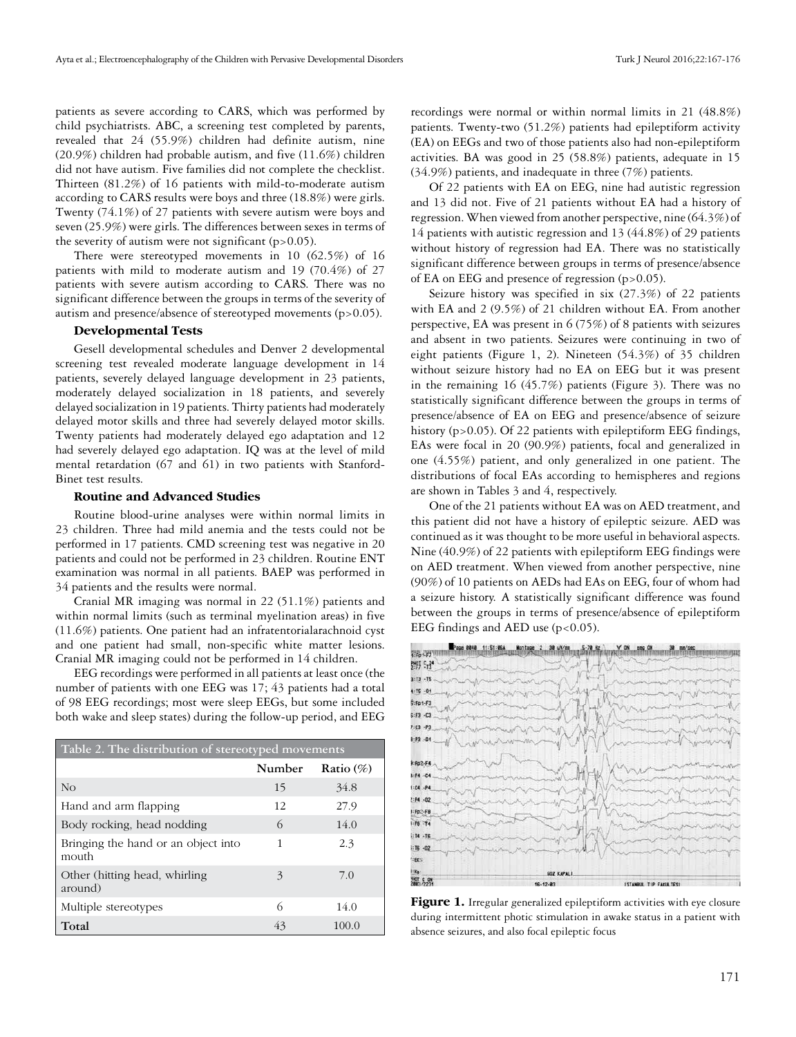patients as severe according to CARS, which was performed by child psychiatrists. ABC, a screening test completed by parents, revealed that 24 (55.9%) children had definite autism, nine (20.9%) children had probable autism, and five (11.6%) children did not have autism. Five families did not complete the checklist. Thirteen (81.2%) of 16 patients with mild-to-moderate autism according to CARS results were boys and three (18.8%) were girls. Twenty (74.1%) of 27 patients with severe autism were boys and seven (25.9%) were girls. The differences between sexes in terms of the severity of autism were not significant  $(p>0.05)$ .

There were stereotyped movements in 10 (62.5%) of 16 patients with mild to moderate autism and 19 (70.4%) of 27 patients with severe autism according to CARS. There was no significant difference between the groups in terms of the severity of autism and presence/absence of stereotyped movements (p>0.05).

## **Developmental Tests**

Gesell developmental schedules and Denver 2 developmental screening test revealed moderate language development in 14 patients, severely delayed language development in 23 patients, moderately delayed socialization in 18 patients, and severely delayed socialization in 19 patients. Thirty patients had moderately delayed motor skills and three had severely delayed motor skills. Twenty patients had moderately delayed ego adaptation and 12 had severely delayed ego adaptation. IQ was at the level of mild mental retardation (67 and 61) in two patients with Stanford-Binet test results.

#### **Routine and Advanced Studies**

Routine blood-urine analyses were within normal limits in 23 children. Three had mild anemia and the tests could not be performed in 17 patients. CMD screening test was negative in 20 patients and could not be performed in 23 children. Routine ENT examination was normal in all patients. BAEP was performed in 34 patients and the results were normal.

Cranial MR imaging was normal in 22 (51.1%) patients and within normal limits (such as terminal myelination areas) in five (11.6%) patients. One patient had an infratentorialarachnoid cyst and one patient had small, non-specific white matter lesions. Cranial MR imaging could not be performed in 14 children.

EEG recordings were performed in all patients at least once (the number of patients with one EEG was 17; 43 patients had a total of 98 EEG recordings; most were sleep EEGs, but some included both wake and sleep states) during the follow-up period, and EEG

| Table 2. The distribution of stereotyped movements |        |              |  |
|----------------------------------------------------|--------|--------------|--|
|                                                    | Number | Ratio $(\%)$ |  |
| N <sub>O</sub>                                     | 15     | 34.8         |  |
| Hand and arm flapping                              | 12     | 27.9         |  |
| Body rocking, head nodding                         | 6      | 14.0         |  |
| Bringing the hand or an object into<br>mouth       | 1      | 2.3          |  |
| Other (hitting head, whirling<br>around)           | 3      | 7.0          |  |
| Multiple stereotypes                               | 6      | 14.0         |  |
| Total                                              | 43     | 100.0        |  |

recordings were normal or within normal limits in 21 (48.8%) patients. Twenty-two (51.2%) patients had epileptiform activity (EA) on EEGs and two of those patients also had non-epileptiform activities. BA was good in 25 (58.8%) patients, adequate in 15 (34.9%) patients, and inadequate in three (7%) patients.

Of 22 patients with EA on EEG, nine had autistic regression and 13 did not. Five of 21 patients without EA had a history of regression. When viewed from another perspective, nine (64.3%) of 14 patients with autistic regression and 13 (44.8%) of 29 patients without history of regression had EA. There was no statistically significant difference between groups in terms of presence/absence of EA on EEG and presence of regression  $(p>0.05)$ .

Seizure history was specified in six (27.3%) of 22 patients with EA and 2 (9.5%) of 21 children without EA. From another perspective, EA was present in 6 (75%) of 8 patients with seizures and absent in two patients. Seizures were continuing in two of eight patients (Figure 1, 2). Nineteen (54.3%) of 35 children without seizure history had no EA on EEG but it was present in the remaining 16 (45.7%) patients (Figure 3). There was no statistically significant difference between the groups in terms of presence/absence of EA on EEG and presence/absence of seizure history (p>0.05). Of 22 patients with epileptiform EEG findings, EAs were focal in 20 (90.9%) patients, focal and generalized in one (4.55%) patient, and only generalized in one patient. The distributions of focal EAs according to hemispheres and regions are shown in Tables 3 and 4, respectively.

One of the 21 patients without EA was on AED treatment, and this patient did not have a history of epileptic seizure. AED was continued as it was thought to be more useful in behavioral aspects. Nine (40.9%) of 22 patients with epileptiform EEG findings were on AED treatment. When viewed from another perspective, nine (90%) of 10 patients on AEDs had EAs on EEG, four of whom had a seizure history. A statistically significant difference was found between the groups in terms of presence/absence of epileptiform EEG findings and AED use  $(p<0.05)$ .



**Figure 1.** Irregular generalized epileptiform activities with eye closure during intermittent photic stimulation in awake status in a patient with absence seizures, and also focal epileptic focus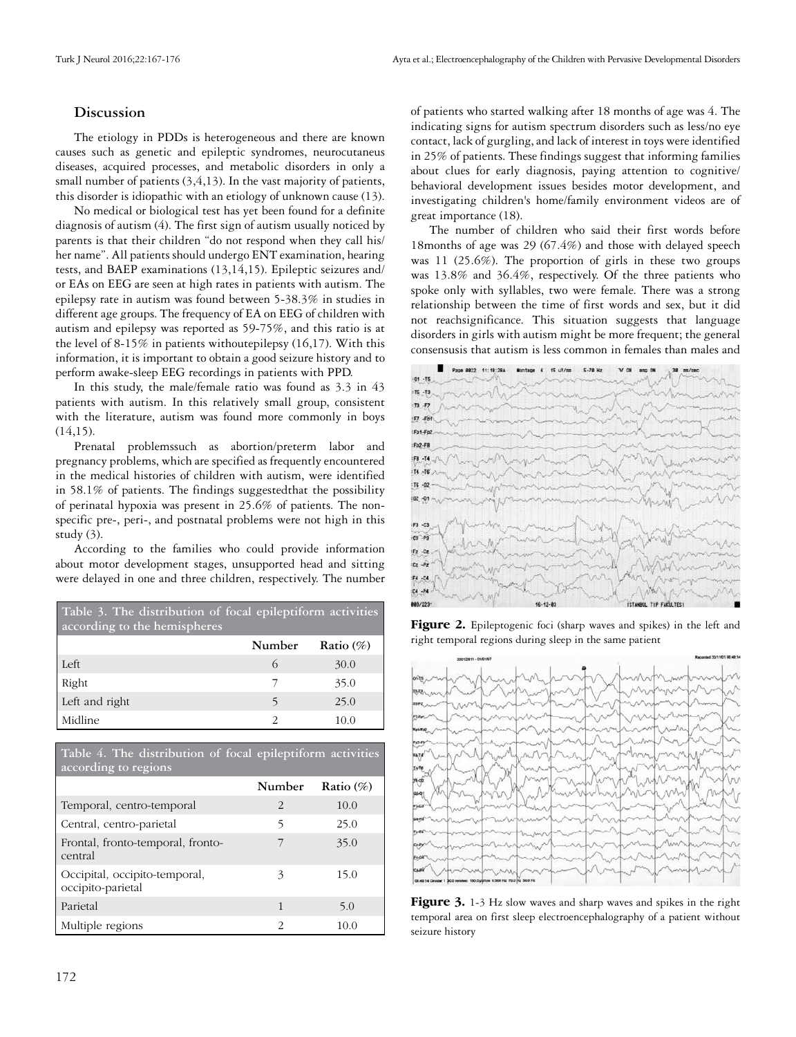## **Discussion**

The etiology in PDDs is heterogeneous and there are known causes such as genetic and epileptic syndromes, neurocutaneus diseases, acquired processes, and metabolic disorders in only a small number of patients  $(3, 4, 13)$ . In the vast majority of patients, this disorder is idiopathic with an etiology of unknown cause (13).

No medical or biological test has yet been found for a definite diagnosis of autism (4). The first sign of autism usually noticed by parents is that their children "do not respond when they call his/ her name". All patients should undergo ENT examination, hearing tests, and BAEP examinations (13,14,15). Epileptic seizures and/ or EAs on EEG are seen at high rates in patients with autism. The epilepsy rate in autism was found between 5-38.3% in studies in different age groups. The frequency of EA on EEG of children with autism and epilepsy was reported as 59-75%, and this ratio is at the level of  $8-15\%$  in patients withoutepilepsy (16,17). With this information, it is important to obtain a good seizure history and to perform awake-sleep EEG recordings in patients with PPD.

In this study, the male/female ratio was found as 3.3 in 43 patients with autism. In this relatively small group, consistent with the literature, autism was found more commonly in boys  $(14,15)$ .

Prenatal problemssuch as abortion/preterm labor and pregnancy problems, which are specified as frequently encountered in the medical histories of children with autism, were identified in 58.1% of patients. The findings suggestedthat the possibility of perinatal hypoxia was present in 25.6% of patients. The nonspecific pre-, peri-, and postnatal problems were not high in this study (3).

According to the families who could provide information about motor development stages, unsupported head and sitting were delayed in one and three children, respectively. The number

| Table 3. The distribution of focal epileptiform activities<br>according to the hemispheres |         |              |  |
|--------------------------------------------------------------------------------------------|---------|--------------|--|
|                                                                                            | Number  | Ratio $(\%)$ |  |
| Left                                                                                       | $\circ$ | 30.0         |  |
| Right                                                                                      |         | 35.0         |  |
| Left and right                                                                             | 5       | 25.0         |  |
| Midline                                                                                    | 2       | 10.0         |  |

**Table 4. The distribution of focal epileptiform activities according to regions**

|                                                    | Number        | Ratio $(\%)$ |
|----------------------------------------------------|---------------|--------------|
| Temporal, centro-temporal                          | 2             | 10.0         |
| Central, centro-parietal                           | 5             | 25.0         |
| Frontal, fronto-temporal, fronto-<br>central       |               | 35.0         |
| Occipital, occipito-temporal,<br>occipito-parietal |               | 15.0         |
| Parietal                                           | 1             | 5.0          |
| Multiple regions                                   | $\mathcal{P}$ | 10.0         |

of patients who started walking after 18 months of age was 4. The indicating signs for autism spectrum disorders such as less/no eye contact, lack of gurgling, and lack of interest in toys were identified in 25% of patients. These findings suggest that informing families about clues for early diagnosis, paying attention to cognitive/ behavioral development issues besides motor development, and investigating children's home/family environment videos are of great importance (18).

The number of children who said their first words before 18months of age was 29 (67.4%) and those with delayed speech was 11 (25.6%). The proportion of girls in these two groups was 13.8% and 36.4%, respectively. Of the three patients who spoke only with syllables, two were female. There was a strong relationship between the time of first words and sex, but it did not reachsignificance. This situation suggests that language disorders in girls with autism might be more frequent; the general consensusis that autism is less common in females than males and



Figure 2. Epileptogenic foci (sharp waves and spikes) in the left and right temporal regions during sleep in the same patient



Figure 3. 1-3 Hz slow waves and sharp waves and spikes in the right temporal area on first sleep electroencephalography of a patient without seizure history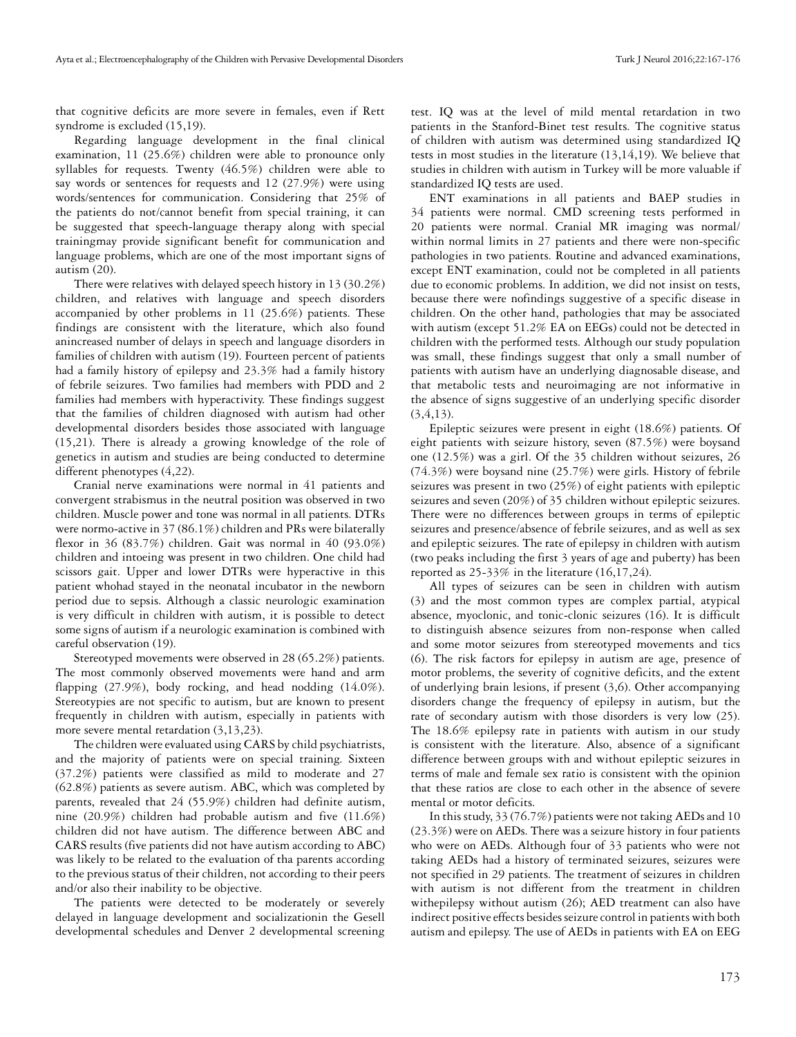that cognitive deficits are more severe in females, even if Rett syndrome is excluded (15,19).

Regarding language development in the final clinical examination, 11 (25.6%) children were able to pronounce only syllables for requests. Twenty (46.5%) children were able to say words or sentences for requests and 12 (27.9%) were using words/sentences for communication. Considering that 25% of the patients do not/cannot benefit from special training, it can be suggested that speech-language therapy along with special trainingmay provide significant benefit for communication and language problems, which are one of the most important signs of autism (20).

There were relatives with delayed speech history in 13 (30.2%) children, and relatives with language and speech disorders accompanied by other problems in 11 (25.6%) patients. These findings are consistent with the literature, which also found anincreased number of delays in speech and language disorders in families of children with autism (19). Fourteen percent of patients had a family history of epilepsy and 23.3% had a family history of febrile seizures. Two families had members with PDD and 2 families had members with hyperactivity. These findings suggest that the families of children diagnosed with autism had other developmental disorders besides those associated with language (15,21). There is already a growing knowledge of the role of genetics in autism and studies are being conducted to determine different phenotypes (4,22).

Cranial nerve examinations were normal in 41 patients and convergent strabismus in the neutral position was observed in two children. Muscle power and tone was normal in all patients. DTRs were normo-active in 37 (86.1%) children and PRs were bilaterally flexor in 36 (83.7%) children. Gait was normal in 40 (93.0%) children and intoeing was present in two children. One child had scissors gait. Upper and lower DTRs were hyperactive in this patient whohad stayed in the neonatal incubator in the newborn period due to sepsis. Although a classic neurologic examination is very difficult in children with autism, it is possible to detect some signs of autism if a neurologic examination is combined with careful observation (19).

Stereotyped movements were observed in 28 (65.2%) patients. The most commonly observed movements were hand and arm flapping (27.9%), body rocking, and head nodding (14.0%). Stereotypies are not specific to autism, but are known to present frequently in children with autism, especially in patients with more severe mental retardation (3,13,23).

The children were evaluated using CARS by child psychiatrists, and the majority of patients were on special training. Sixteen (37.2%) patients were classified as mild to moderate and 27 (62.8%) patients as severe autism. ABC, which was completed by parents, revealed that 24 (55.9%) children had definite autism, nine (20.9%) children had probable autism and five (11.6%) children did not have autism. The difference between ABC and CARS results (five patients did not have autism according to ABC) was likely to be related to the evaluation of tha parents according to the previous status of their children, not according to their peers and/or also their inability to be objective.

The patients were detected to be moderately or severely delayed in language development and socializationin the Gesell developmental schedules and Denver 2 developmental screening test. IQ was at the level of mild mental retardation in two patients in the Stanford-Binet test results. The cognitive status of children with autism was determined using standardized IQ tests in most studies in the literature (13,14,19). We believe that studies in children with autism in Turkey will be more valuable if standardized IQ tests are used.

ENT examinations in all patients and BAEP studies in 34 patients were normal. CMD screening tests performed in 20 patients were normal. Cranial MR imaging was normal/ within normal limits in 27 patients and there were non-specific pathologies in two patients. Routine and advanced examinations, except ENT examination, could not be completed in all patients due to economic problems. In addition, we did not insist on tests, because there were nofindings suggestive of a specific disease in children. On the other hand, pathologies that may be associated with autism (except 51.2% EA on EEGs) could not be detected in children with the performed tests. Although our study population was small, these findings suggest that only a small number of patients with autism have an underlying diagnosable disease, and that metabolic tests and neuroimaging are not informative in the absence of signs suggestive of an underlying specific disorder (3,4,13).

Epileptic seizures were present in eight (18.6%) patients. Of eight patients with seizure history, seven (87.5%) were boysand one (12.5%) was a girl. Of the 35 children without seizures, 26 (74.3%) were boysand nine (25.7%) were girls. History of febrile seizures was present in two (25%) of eight patients with epileptic seizures and seven (20%) of 35 children without epileptic seizures. There were no differences between groups in terms of epileptic seizures and presence/absence of febrile seizures, and as well as sex and epileptic seizures. The rate of epilepsy in children with autism (two peaks including the first 3 years of age and puberty) has been reported as 25-33% in the literature (16,17,24).

All types of seizures can be seen in children with autism (3) and the most common types are complex partial, atypical absence, myoclonic, and tonic-clonic seizures (16). It is difficult to distinguish absence seizures from non-response when called and some motor seizures from stereotyped movements and tics (6). The risk factors for epilepsy in autism are age, presence of motor problems, the severity of cognitive deficits, and the extent of underlying brain lesions, if present (3,6). Other accompanying disorders change the frequency of epilepsy in autism, but the rate of secondary autism with those disorders is very low (25). The 18.6% epilepsy rate in patients with autism in our study is consistent with the literature. Also, absence of a significant difference between groups with and without epileptic seizures in terms of male and female sex ratio is consistent with the opinion that these ratios are close to each other in the absence of severe mental or motor deficits.

In this study, 33 (76.7%) patients were not taking AEDs and 10 (23.3%) were on AEDs. There was a seizure history in four patients who were on AEDs. Although four of 33 patients who were not taking AEDs had a history of terminated seizures, seizures were not specified in 29 patients. The treatment of seizures in children with autism is not different from the treatment in children withepilepsy without autism (26); AED treatment can also have indirect positive effects besides seizure control in patients with both autism and epilepsy. The use of AEDs in patients with EA on EEG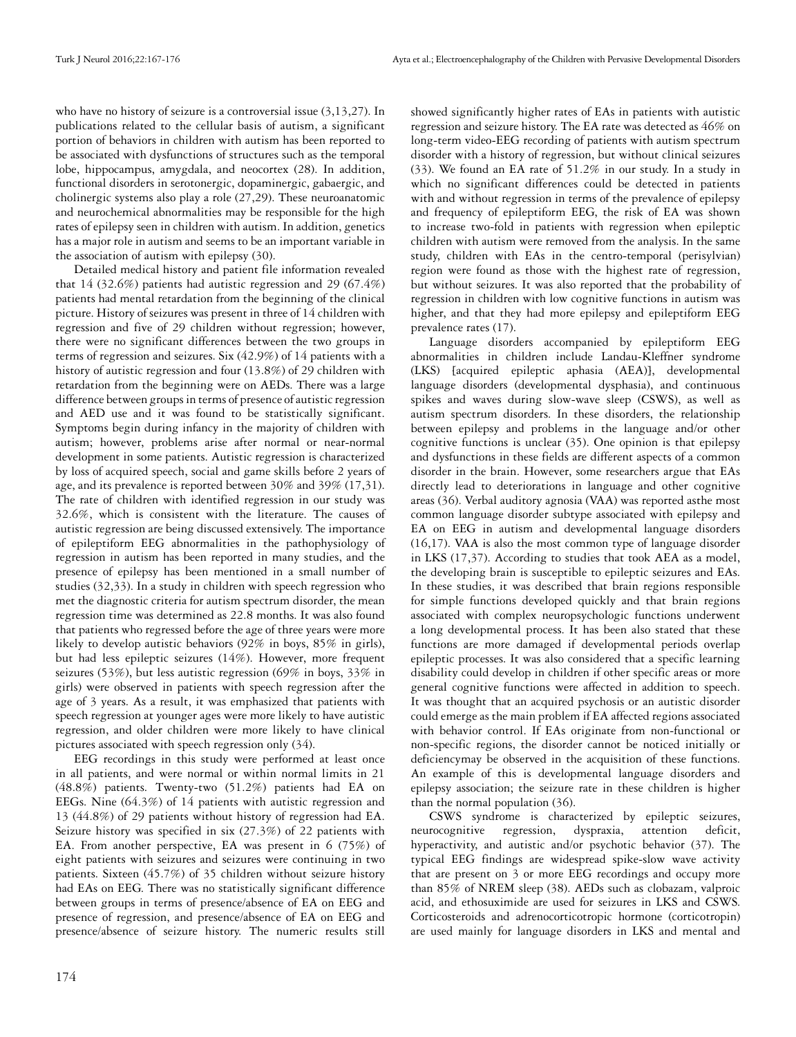who have no history of seizure is a controversial issue  $(3,13,27)$ . In publications related to the cellular basis of autism, a significant portion of behaviors in children with autism has been reported to be associated with dysfunctions of structures such as the temporal lobe, hippocampus, amygdala, and neocortex (28). In addition, functional disorders in serotonergic, dopaminergic, gabaergic, and cholinergic systems also play a role (27,29). These neuroanatomic and neurochemical abnormalities may be responsible for the high rates of epilepsy seen in children with autism. In addition, genetics has a major role in autism and seems to be an important variable in the association of autism with epilepsy (30).

Detailed medical history and patient file information revealed that 14 (32.6%) patients had autistic regression and 29 (67.4%) patients had mental retardation from the beginning of the clinical picture. History of seizures was present in three of 14 children with regression and five of 29 children without regression; however, there were no significant differences between the two groups in terms of regression and seizures. Six (42.9%) of 14 patients with a history of autistic regression and four (13.8%) of 29 children with retardation from the beginning were on AEDs. There was a large difference between groups in terms of presence of autistic regression and AED use and it was found to be statistically significant. Symptoms begin during infancy in the majority of children with autism; however, problems arise after normal or near-normal development in some patients. Autistic regression is characterized by loss of acquired speech, social and game skills before 2 years of age, and its prevalence is reported between 30% and 39% (17,31). The rate of children with identified regression in our study was 32.6%, which is consistent with the literature. The causes of autistic regression are being discussed extensively. The importance of epileptiform EEG abnormalities in the pathophysiology of regression in autism has been reported in many studies, and the presence of epilepsy has been mentioned in a small number of studies (32,33). In a study in children with speech regression who met the diagnostic criteria for autism spectrum disorder, the mean regression time was determined as 22.8 months. It was also found that patients who regressed before the age of three years were more likely to develop autistic behaviors (92% in boys, 85% in girls), but had less epileptic seizures (14%). However, more frequent seizures (53%), but less autistic regression (69% in boys, 33% in girls) were observed in patients with speech regression after the age of 3 years. As a result, it was emphasized that patients with speech regression at younger ages were more likely to have autistic regression, and older children were more likely to have clinical pictures associated with speech regression only (34).

EEG recordings in this study were performed at least once in all patients, and were normal or within normal limits in 21 (48.8%) patients. Twenty-two (51.2%) patients had EA on EEGs. Nine (64.3%) of 14 patients with autistic regression and 13 (44.8%) of 29 patients without history of regression had EA. Seizure history was specified in six (27.3%) of 22 patients with EA. From another perspective, EA was present in 6 (75%) of eight patients with seizures and seizures were continuing in two patients. Sixteen (45.7%) of 35 children without seizure history had EAs on EEG. There was no statistically significant difference between groups in terms of presence/absence of EA on EEG and presence of regression, and presence/absence of EA on EEG and presence/absence of seizure history. The numeric results still

showed significantly higher rates of EAs in patients with autistic regression and seizure history. The EA rate was detected as 46% on long-term video-EEG recording of patients with autism spectrum disorder with a history of regression, but without clinical seizures (33). We found an EA rate of 51.2% in our study. In a study in which no significant differences could be detected in patients with and without regression in terms of the prevalence of epilepsy and frequency of epileptiform EEG, the risk of EA was shown to increase two-fold in patients with regression when epileptic children with autism were removed from the analysis. In the same study, children with EAs in the centro-temporal (perisylvian) region were found as those with the highest rate of regression, but without seizures. It was also reported that the probability of regression in children with low cognitive functions in autism was higher, and that they had more epilepsy and epileptiform EEG prevalence rates (17).

Language disorders accompanied by epileptiform EEG abnormalities in children include Landau-Kleffner syndrome (LKS) [acquired epileptic aphasia (AEA)], developmental language disorders (developmental dysphasia), and continuous spikes and waves during slow-wave sleep (CSWS), as well as autism spectrum disorders. In these disorders, the relationship between epilepsy and problems in the language and/or other cognitive functions is unclear (35). One opinion is that epilepsy and dysfunctions in these fields are different aspects of a common disorder in the brain. However, some researchers argue that EAs directly lead to deteriorations in language and other cognitive areas (36). Verbal auditory agnosia (VAA) was reported asthe most common language disorder subtype associated with epilepsy and EA on EEG in autism and developmental language disorders (16,17). VAA is also the most common type of language disorder in LKS (17,37). According to studies that took AEA as a model, the developing brain is susceptible to epileptic seizures and EAs. In these studies, it was described that brain regions responsible for simple functions developed quickly and that brain regions associated with complex neuropsychologic functions underwent a long developmental process. It has been also stated that these functions are more damaged if developmental periods overlap epileptic processes. It was also considered that a specific learning disability could develop in children if other specific areas or more general cognitive functions were affected in addition to speech. It was thought that an acquired psychosis or an autistic disorder could emerge as the main problem if EA affected regions associated with behavior control. If EAs originate from non-functional or non-specific regions, the disorder cannot be noticed initially or deficiencymay be observed in the acquisition of these functions. An example of this is developmental language disorders and epilepsy association; the seizure rate in these children is higher than the normal population (36).

CSWS syndrome is characterized by epileptic seizures, neurocognitive regression, dyspraxia, attention deficit, hyperactivity, and autistic and/or psychotic behavior (37). The typical EEG findings are widespread spike-slow wave activity that are present on 3 or more EEG recordings and occupy more than 85% of NREM sleep (38). AEDs such as clobazam, valproic acid, and ethosuximide are used for seizures in LKS and CSWS. Corticosteroids and adrenocorticotropic hormone (corticotropin) are used mainly for language disorders in LKS and mental and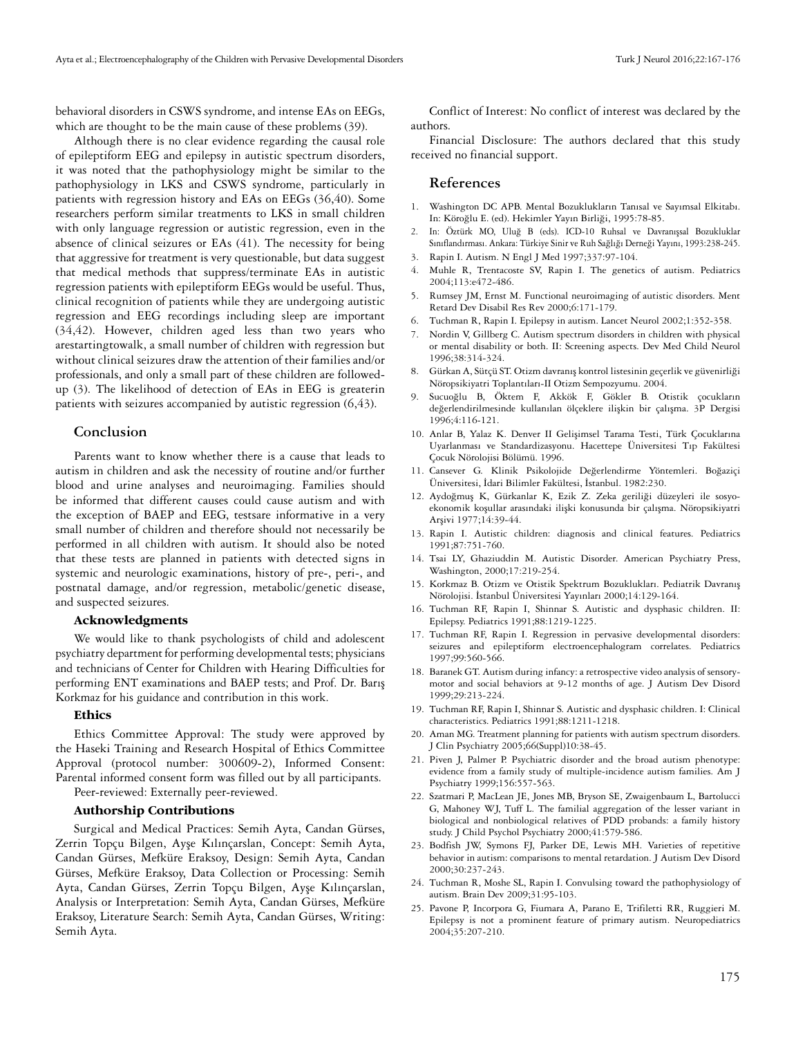behavioral disorders in CSWS syndrome, and intense EAs on EEGs, which are thought to be the main cause of these problems (39).

Although there is no clear evidence regarding the causal role of epileptiform EEG and epilepsy in autistic spectrum disorders, it was noted that the pathophysiology might be similar to the pathophysiology in LKS and CSWS syndrome, particularly in patients with regression history and EAs on EEGs (36,40). Some researchers perform similar treatments to LKS in small children with only language regression or autistic regression, even in the absence of clinical seizures or EAs (41). The necessity for being that aggressive for treatment is very questionable, but data suggest that medical methods that suppress/terminate EAs in autistic regression patients with epileptiform EEGs would be useful. Thus, clinical recognition of patients while they are undergoing autistic regression and EEG recordings including sleep are important (34,42). However, children aged less than two years who arestartingtowalk, a small number of children with regression but without clinical seizures draw the attention of their families and/or professionals, and only a small part of these children are followedup (3). The likelihood of detection of EAs in EEG is greaterin patients with seizures accompanied by autistic regression (6,43).

#### **Conclusion**

Parents want to know whether there is a cause that leads to autism in children and ask the necessity of routine and/or further blood and urine analyses and neuroimaging. Families should be informed that different causes could cause autism and with the exception of BAEP and EEG, testsare informative in a very small number of children and therefore should not necessarily be performed in all children with autism. It should also be noted that these tests are planned in patients with detected signs in systemic and neurologic examinations, history of pre-, peri-, and postnatal damage, and/or regression, metabolic/genetic disease, and suspected seizures.

#### **Acknowledgments**

We would like to thank psychologists of child and adolescent psychiatry department for performing developmental tests; physicians and technicians of Center for Children with Hearing Difficulties for performing ENT examinations and BAEP tests; and Prof. Dr. Barış Korkmaz for his guidance and contribution in this work.

#### **Ethics**

Ethics Committee Approval: The study were approved by the Haseki Training and Research Hospital of Ethics Committee Approval (protocol number: 300609-2), Informed Consent: Parental informed consent form was filled out by all participants.

Peer-reviewed: Externally peer-reviewed.

#### **Authorship Contributions**

Surgical and Medical Practices: Semih Ayta, Candan Gürses, Zerrin Topçu Bilgen, Ayşe Kılınçarslan, Concept: Semih Ayta, Candan Gürses, Mefküre Eraksoy, Design: Semih Ayta, Candan Gürses, Mefküre Eraksoy, Data Collection or Processing: Semih Ayta, Candan Gürses, Zerrin Topçu Bilgen, Ayşe Kılınçarslan, Analysis or Interpretation: Semih Ayta, Candan Gürses, Mefküre Eraksoy, Literature Search: Semih Ayta, Candan Gürses, Writing: Semih Ayta.

Conflict of Interest: No conflict of interest was declared by the authors.

Financial Disclosure: The authors declared that this study received no financial support.

## **References**

- 1. Washington DC APB. Mental Bozuklukların Tanısal ve Sayımsal Elkitabı. In: Köroğlu E. (ed). Hekimler Yayın Birliği, 1995:78-85.
- 2. In: Öztürk MO, Uluğ B (eds). ICD-10 Ruhsal ve Davranışsal Bozukluklar Sınıflandırması. Ankara: Türkiye Sinir ve Ruh Sağlığı Derneği Yayını, 1993:238-245.
- 3. Rapin I. Autism. N Engl J Med 1997;337:97-104.
- 4. Muhle R, Trentacoste SV, Rapin I. The genetics of autism. Pediatrics 2004;113:e472-486.
- 5. Rumsey JM, Ernst M. Functional neuroimaging of autistic disorders. Ment Retard Dev Disabil Res Rev 2000;6:171-179.
- 6. Tuchman R, Rapin I. Epilepsy in autism. Lancet Neurol 2002;1:352-358.
- 7. Nordin V, Gillberg C. Autism spectrum disorders in children with physical or mental disability or both. II: Screening aspects. Dev Med Child Neurol 1996;38:314-324.
- 8. Gürkan A, Sütçü ST. Otizm davranış kontrol listesinin geçerlik ve güvenirliği Nöropsikiyatri Toplantıları-II Otizm Sempozyumu. 2004.
- 9. Sucuoğlu B, Öktem F, Akkök F, Gökler B. Otistik çocukların değerlendirilmesinde kullanılan ölçeklere ilişkin bir çalışma. 3P Dergisi 1996;4:116-121.
- 10. Anlar B, Yalaz K. Denver II Gelişimsel Tarama Testi, Türk Çocuklarına Uyarlanması ve Standardizasyonu. Hacettepe Üniversitesi Tıp Fakültesi Çocuk Nörolojisi Bölümü. 1996.
- 11. Cansever G. Klinik Psikolojide Değerlendirme Yöntemleri. Boğaziçi Üniversitesi, İdari Bilimler Fakültesi, İstanbul. 1982:230.
- 12. Aydoğmuş K, Gürkanlar K, Ezik Z. Zeka geriliği düzeyleri ile sosyoekonomik koşullar arasındaki ilişki konusunda bir çalışma. Nöropsikiyatri Arşivi 1977;14:39-44.
- 13. Rapin I. Autistic children: diagnosis and clinical features. Pediatrics 1991;87:751-760.
- 14. Tsai LY, Ghaziuddin M. Autistic Disorder. American Psychiatry Press, Washington, 2000;17:219-254.
- 15. Korkmaz B. Otizm ve Otistik Spektrum Bozuklukları. Pediatrik Davranış Nörolojisi. İstanbul Üniversitesi Yayınları 2000;14:129-164.
- 16. Tuchman RF, Rapin I, Shinnar S. Autistic and dysphasic children. II: Epilepsy. Pediatrics 1991;88:1219-1225.
- 17. Tuchman RF, Rapin I. Regression in pervasive developmental disorders: seizures and epileptiform electroencephalogram correlates. Pediatrics 1997;99:560-566.
- 18. Baranek GT. Autism during infancy: a retrospective video analysis of sensorymotor and social behaviors at 9-12 months of age. J Autism Dev Disord 1999;29:213-224.
- 19. Tuchman RF, Rapin I, Shinnar S. Autistic and dysphasic children. I: Clinical characteristics. Pediatrics 1991;88:1211-1218.
- 20. Aman MG. Treatment planning for patients with autism spectrum disorders. J Clin Psychiatry 2005;66(Suppl)10:38-45.
- 21. Piven J, Palmer P. Psychiatric disorder and the broad autism phenotype: evidence from a family study of multiple-incidence autism families. Am J Psychiatry 1999;156:557-563.
- 22. Szatmari P, MacLean JE, Jones MB, Bryson SE, Zwaigenbaum L, Bartolucci G, Mahoney WJ, Tuff L. The familial aggregation of the lesser variant in biological and nonbiological relatives of PDD probands: a family history study. J Child Psychol Psychiatry 2000;41:579-586.
- 23. Bodfish JW, Symons FJ, Parker DE, Lewis MH. Varieties of repetitive behavior in autism: comparisons to mental retardation. J Autism Dev Disord 2000;30:237-243.
- 24. Tuchman R, Moshe SL, Rapin I. Convulsing toward the pathophysiology of autism. Brain Dev 2009;31:95-103.
- 25. Pavone P, Incorpora G, Fiumara A, Parano E, Trifiletti RR, Ruggieri M. Epilepsy is not a prominent feature of primary autism. Neuropediatrics 2004;35:207-210.